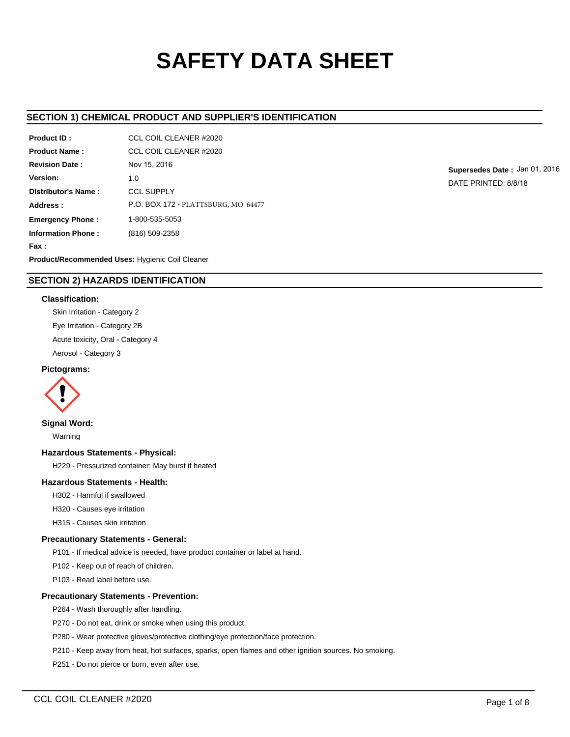# **SAFETY DATA SHEET**

# **SECTION 1) CHEMICAL PRODUCT AND SUPPLIER'S IDENTIFICATION**

| Product ID:                                     | CCL COIL CLEANER #2020              |  |  |  |
|-------------------------------------------------|-------------------------------------|--|--|--|
| <b>Product Name:</b>                            | CCL COIL CLEANER #2020              |  |  |  |
| <b>Revision Date:</b>                           | Nov 15, 2016                        |  |  |  |
| Version:                                        | 1.0                                 |  |  |  |
| Distributor's Name:                             | <b>CCL SUPPLY</b>                   |  |  |  |
| Address:                                        | P.O. BOX 172 - PLATTSBURG, MO 64477 |  |  |  |
| <b>Emergency Phone:</b>                         | 1-800-535-5053                      |  |  |  |
| <b>Information Phone:</b>                       | (816) 509-2358                      |  |  |  |
| Fax :                                           |                                     |  |  |  |
| Product/Recommended Uses: Hygienic Coil Cleaner |                                     |  |  |  |

**Supersedes Date :** Jan 01, 2016 DATE PRINTED: 8/8/18

# **SECTION 2) HAZARDS IDENTIFICATION**

# **Classification:**

Skin Irritation - Category 2 Eye Irritation - Category 2B Acute toxicity, Oral - Category 4 Aerosol - Category 3

## **Pictograms:**



# **Signal Word:**

Warning

## **Hazardous Statements - Physical:**

H229 - Pressurized container: May burst if heated

## **Hazardous Statements - Health:**

- H302 Harmful if swallowed
- H320 Causes eye irritation
- H315 Causes skin irritation

## **Precautionary Statements - General:**

- P101 If medical advice is needed, have product container or label at hand.
- P102 Keep out of reach of children.
- P103 Read label before use.

# **Precautionary Statements - Prevention:**

- P264 Wash thoroughly after handling.
- P270 Do not eat, drink or smoke when using this product.
- P280 Wear protective gloves/protective clothing/eye protection/face protection.
- P210 Keep away from heat, hot surfaces, sparks, open flames and other ignition sources. No smoking.
- P251 Do not pierce or burn, even after use.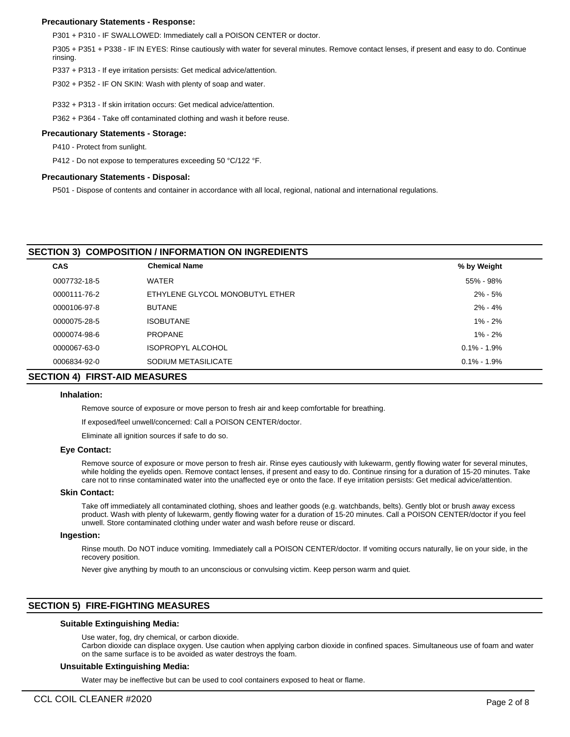## **Precautionary Statements - Response:**

P301 + P310 - IF SWALLOWED: Immediately call a POISON CENTER or doctor.

P305 + P351 + P338 - IF IN EYES: Rinse cautiously with water for several minutes. Remove contact lenses, if present and easy to do. Continue rinsing.

P337 + P313 - If eye irritation persists: Get medical advice/attention.

P302 + P352 - IF ON SKIN: Wash with plenty of soap and water.

P332 + P313 - If skin irritation occurs: Get medical advice/attention.

P362 + P364 - Take off contaminated clothing and wash it before reuse.

#### **Precautionary Statements - Storage:**

P410 - Protect from sunlight.

P412 - Do not expose to temperatures exceeding 50 °C/122 °F.

#### **Precautionary Statements - Disposal:**

P501 - Dispose of contents and container in accordance with all local, regional, national and international regulations.

## **SECTION 3) COMPOSITION / INFORMATION ON INGREDIENTS**

| <b>CAS</b>   | <b>Chemical Name</b>            | % by Weight     |  |
|--------------|---------------------------------|-----------------|--|
| 0007732-18-5 | <b>WATER</b>                    | 55% - 98%       |  |
| 0000111-76-2 | ETHYLENE GLYCOL MONOBUTYL ETHER | $2\% - 5\%$     |  |
| 0000106-97-8 | <b>BUTANE</b>                   | $2\% - 4\%$     |  |
| 0000075-28-5 | <b>ISOBUTANE</b>                | $1\% - 2\%$     |  |
| 0000074-98-6 | <b>PROPANE</b>                  | $1\% - 2\%$     |  |
| 0000067-63-0 | <b>ISOPROPYL ALCOHOL</b>        | $0.1\% - 1.9\%$ |  |
| 0006834-92-0 | SODIUM METASILICATE             | $0.1\% - 1.9\%$ |  |
|              |                                 |                 |  |

# **SECTION 4) FIRST-AID MEASURES**

#### **Inhalation:**

Remove source of exposure or move person to fresh air and keep comfortable for breathing.

If exposed/feel unwell/concerned: Call a POISON CENTER/doctor.

Eliminate all ignition sources if safe to do so.

#### **Eye Contact:**

Remove source of exposure or move person to fresh air. Rinse eyes cautiously with lukewarm, gently flowing water for several minutes, while holding the eyelids open. Remove contact lenses, if present and easy to do. Continue rinsing for a duration of 15-20 minutes. Take care not to rinse contaminated water into the unaffected eye or onto the face. If eye irritation persists: Get medical advice/attention.

# **Skin Contact:**

Take off immediately all contaminated clothing, shoes and leather goods (e.g. watchbands, belts). Gently blot or brush away excess product. Wash with plenty of lukewarm, gently flowing water for a duration of 15-20 minutes. Call a POISON CENTER/doctor if you feel unwell. Store contaminated clothing under water and wash before reuse or discard.

#### **Ingestion:**

Rinse mouth. Do NOT induce vomiting. Immediately call a POISON CENTER/doctor. If vomiting occurs naturally, lie on your side, in the recovery position.

Never give anything by mouth to an unconscious or convulsing victim. Keep person warm and quiet.

## **SECTION 5) FIRE-FIGHTING MEASURES**

## **Suitable Extinguishing Media:**

Use water, fog, dry chemical, or carbon dioxide.

Carbon dioxide can displace oxygen. Use caution when applying carbon dioxide in confined spaces. Simultaneous use of foam and water on the same surface is to be avoided as water destroys the foam.

#### **Unsuitable Extinguishing Media:**

Water may be ineffective but can be used to cool containers exposed to heat or flame.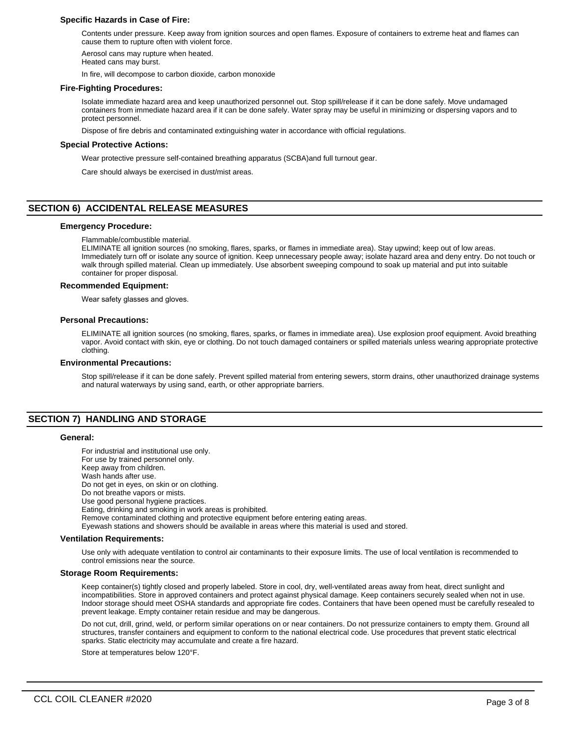#### **Specific Hazards in Case of Fire:**

Contents under pressure. Keep away from ignition sources and open flames. Exposure of containers to extreme heat and flames can cause them to rupture often with violent force.

Aerosol cans may rupture when heated.

Heated cans may burst.

In fire, will decompose to carbon dioxide, carbon monoxide

#### **Fire-Fighting Procedures:**

Isolate immediate hazard area and keep unauthorized personnel out. Stop spill/release if it can be done safely. Move undamaged containers from immediate hazard area if it can be done safely. Water spray may be useful in minimizing or dispersing vapors and to protect personnel.

Dispose of fire debris and contaminated extinguishing water in accordance with official regulations.

#### **Special Protective Actions:**

Wear protective pressure self-contained breathing apparatus (SCBA)and full turnout gear.

Care should always be exercised in dust/mist areas.

# **SECTION 6) ACCIDENTAL RELEASE MEASURES**

#### **Emergency Procedure:**

Flammable/combustible material.

ELIMINATE all ignition sources (no smoking, flares, sparks, or flames in immediate area). Stay upwind; keep out of low areas. Immediately turn off or isolate any source of ignition. Keep unnecessary people away; isolate hazard area and deny entry. Do not touch or walk through spilled material. Clean up immediately. Use absorbent sweeping compound to soak up material and put into suitable container for proper disposal.

#### **Recommended Equipment:**

Wear safety glasses and gloves.

#### **Personal Precautions:**

ELIMINATE all ignition sources (no smoking, flares, sparks, or flames in immediate area). Use explosion proof equipment. Avoid breathing vapor. Avoid contact with skin, eye or clothing. Do not touch damaged containers or spilled materials unless wearing appropriate protective clothing.

#### **Environmental Precautions:**

Stop spill/release if it can be done safely. Prevent spilled material from entering sewers, storm drains, other unauthorized drainage systems and natural waterways by using sand, earth, or other appropriate barriers.

# **SECTION 7) HANDLING AND STORAGE**

#### **General:**

For industrial and institutional use only. For use by trained personnel only. Keep away from children. Wash hands after use. Do not get in eyes, on skin or on clothing. Do not breathe vapors or mists. Use good personal hygiene practices. Eating, drinking and smoking in work areas is prohibited. Remove contaminated clothing and protective equipment before entering eating areas. Eyewash stations and showers should be available in areas where this material is used and stored.

#### **Ventilation Requirements:**

Use only with adequate ventilation to control air contaminants to their exposure limits. The use of local ventilation is recommended to control emissions near the source.

#### **Storage Room Requirements:**

Keep container(s) tightly closed and properly labeled. Store in cool, dry, well-ventilated areas away from heat, direct sunlight and incompatibilities. Store in approved containers and protect against physical damage. Keep containers securely sealed when not in use. Indoor storage should meet OSHA standards and appropriate fire codes. Containers that have been opened must be carefully resealed to prevent leakage. Empty container retain residue and may be dangerous.

Do not cut, drill, grind, weld, or perform similar operations on or near containers. Do not pressurize containers to empty them. Ground all structures, transfer containers and equipment to conform to the national electrical code. Use procedures that prevent static electrical sparks. Static electricity may accumulate and create a fire hazard.

Store at temperatures below 120°F.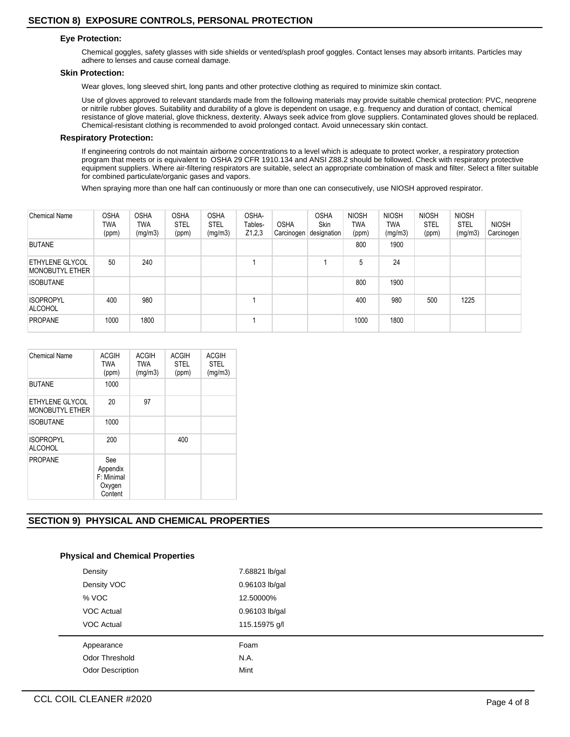# **Eye Protection:**

Chemical goggles, safety glasses with side shields or vented/splash proof goggles. Contact lenses may absorb irritants. Particles may adhere to lenses and cause corneal damage.

#### **Skin Protection:**

Wear gloves, long sleeved shirt, long pants and other protective clothing as required to minimize skin contact.

Use of gloves approved to relevant standards made from the following materials may provide suitable chemical protection: PVC, neoprene or nitrile rubber gloves. Suitability and durability of a glove is dependent on usage, e.g. frequency and duration of contact, chemical resistance of glove material, glove thickness, dexterity. Always seek advice from glove suppliers. Contaminated gloves should be replaced. Chemical-resistant clothing is recommended to avoid prolonged contact. Avoid unnecessary skin contact.

# **Respiratory Protection:**

If engineering controls do not maintain airborne concentrations to a level which is adequate to protect worker, a respiratory protection program that meets or is equivalent to OSHA 29 CFR 1910.134 and ANSI Z88.2 should be followed. Check with respiratory protective equipment suppliers. Where air-filtering respirators are suitable, select an appropriate combination of mask and filter. Select a filter suitable for combined particulate/organic gases and vapors.

When spraying more than one half can continuously or more than one can consecutively, use NIOSH approved respirator.

| <b>Chemical Name</b>                      | <b>OSHA</b><br>TWA<br>(ppm) | <b>OSHA</b><br>TWA<br>(mg/m3) | <b>OSHA</b><br><b>STEL</b><br>(ppm) | <b>OSHA</b><br><b>STEL</b><br>(mg/m3) | OSHA-<br>Tables-<br>Z1,2,3 | <b>OSHA</b><br>Carcinogen | <b>OSHA</b><br><b>Skin</b><br>designation | <b>NIOSH</b><br>TWA<br>(ppm) | <b>NIOSH</b><br>TWA<br>(mg/m3) | <b>NIOSH</b><br><b>STEL</b><br>(ppm) | <b>NIOSH</b><br><b>STEL</b><br>(mg/m3) | <b>NIOSH</b><br>Carcinogen |
|-------------------------------------------|-----------------------------|-------------------------------|-------------------------------------|---------------------------------------|----------------------------|---------------------------|-------------------------------------------|------------------------------|--------------------------------|--------------------------------------|----------------------------------------|----------------------------|
| <b>BUTANE</b>                             |                             |                               |                                     |                                       |                            |                           |                                           | 800                          | 1900                           |                                      |                                        |                            |
| ETHYLENE GLYCOL<br><b>MONOBUTYL ETHER</b> | 50                          | 240                           |                                     |                                       |                            |                           |                                           | 5                            | 24                             |                                      |                                        |                            |
| <b>ISOBUTANE</b>                          |                             |                               |                                     |                                       |                            |                           |                                           | 800                          | 1900                           |                                      |                                        |                            |
| <b>ISOPROPYL</b><br>ALCOHOL               | 400                         | 980                           |                                     |                                       |                            |                           |                                           | 400                          | 980                            | 500                                  | 1225                                   |                            |
| <b>PROPANE</b>                            | 1000                        | 1800                          |                                     |                                       |                            |                           |                                           | 1000                         | 1800                           |                                      |                                        |                            |

| <b>Chemical Name</b>                      | <b>ACGIH</b><br><b>TWA</b><br>(ppm)                 | <b>ACGIH</b><br><b>TWA</b><br>(mg/m3) | <b>ACGIH</b><br><b>STEL</b><br>(ppm) | <b>ACGIH</b><br><b>STEL</b><br>(mg/m3) |
|-------------------------------------------|-----------------------------------------------------|---------------------------------------|--------------------------------------|----------------------------------------|
| <b>BUTANE</b>                             | 1000                                                |                                       |                                      |                                        |
| ETHYLENE GLYCOL<br><b>MONOBUTYL ETHER</b> | 20                                                  | 97                                    |                                      |                                        |
| <b>ISOBUTANE</b>                          | 1000                                                |                                       |                                      |                                        |
| <b>ISOPROPYL</b><br><b>ALCOHOL</b>        | 200                                                 |                                       | 400                                  |                                        |
| <b>PROPANE</b>                            | See<br>Appendix<br>$F$ Minimal<br>Oxygen<br>Content |                                       |                                      |                                        |

# **SECTION 9) PHYSICAL AND CHEMICAL PROPERTIES**

## **Physical and Chemical Properties**

| Density                 | 7.68821 lb/gal |
|-------------------------|----------------|
| Density VOC             | 0.96103 lb/gal |
| % VOC                   | 12.50000%      |
| <b>VOC Actual</b>       | 0.96103 lb/gal |
| <b>VOC Actual</b>       | 115.15975 g/l  |
| Appearance              | Foam           |
| Odor Threshold          | N.A.           |
| <b>Odor Description</b> | Mint           |
|                         |                |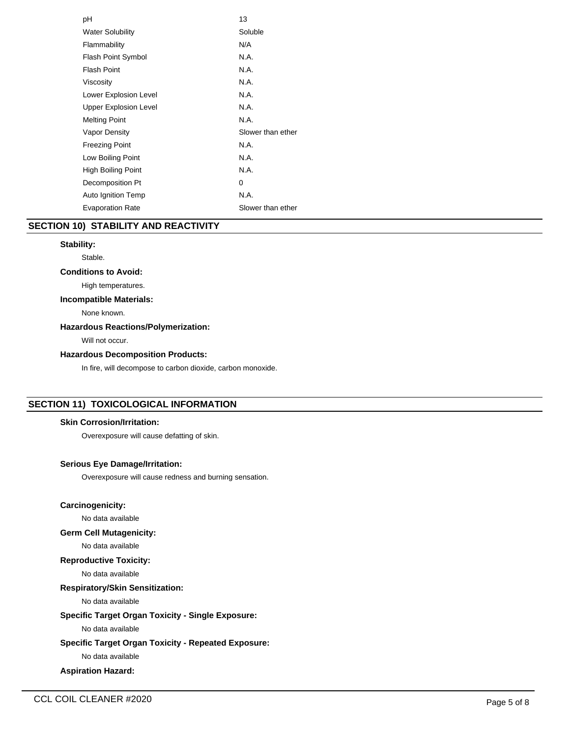| рH                           | 13                |
|------------------------------|-------------------|
| <b>Water Solubility</b>      | Soluble           |
| Flammability                 | N/A               |
| <b>Flash Point Symbol</b>    | N.A.              |
| Flash Point                  | N.A.              |
| Viscosity                    | N.A.              |
| Lower Explosion Level        | N.A.              |
| <b>Upper Explosion Level</b> | N.A.              |
| <b>Melting Point</b>         | N.A.              |
| Vapor Density                | Slower than ether |
| <b>Freezing Point</b>        | N.A.              |
| Low Boiling Point            | N.A.              |
| High Boiling Point           | N.A.              |
| Decomposition Pt             | 0                 |
| Auto Ignition Temp           | N.A.              |
| <b>Evaporation Rate</b>      | Slower than ether |

# **SECTION 10) STABILITY AND REACTIVITY**

# **Stability:**

#### Stable.

## **Conditions to Avoid:**

High temperatures.

# **Incompatible Materials:**

None known.

# **Hazardous Reactions/Polymerization:**

Will not occur.

# **Hazardous Decomposition Products:**

In fire, will decompose to carbon dioxide, carbon monoxide.

# **SECTION 11) TOXICOLOGICAL INFORMATION**

## **Skin Corrosion/Irritation:**

Overexposure will cause defatting of skin.

# **Serious Eye Damage/Irritation:**

Overexposure will cause redness and burning sensation.

# **Carcinogenicity:**

No data available

# **Germ Cell Mutagenicity:**

No data available

# **Reproductive Toxicity:**

No data available

# **Respiratory/Skin Sensitization:**

No data available

# **Specific Target Organ Toxicity - Single Exposure:**

No data available

# **Specific Target Organ Toxicity - Repeated Exposure:**

No data available

# **Aspiration Hazard:**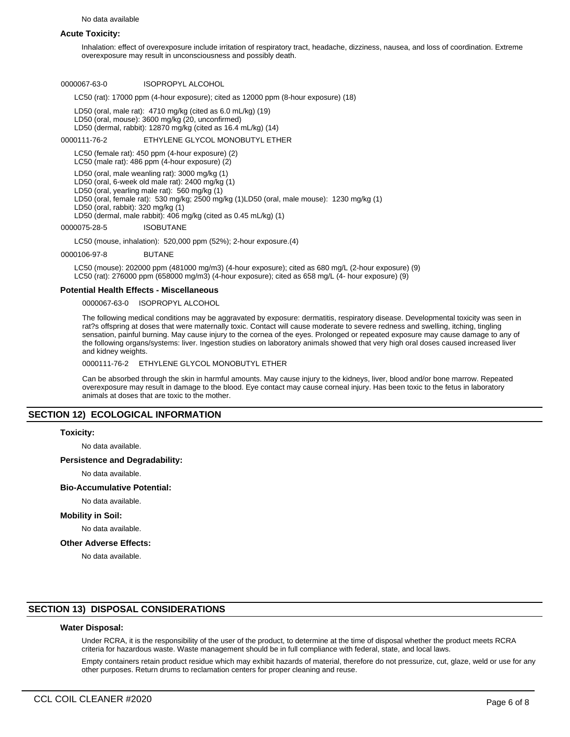No data available

#### **Acute Toxicity:**

Inhalation: effect of overexposure include irritation of respiratory tract, headache, dizziness, nausea, and loss of coordination. Extreme overexposure may result in unconsciousness and possibly death.

#### 0000067-63-0 ISOPROPYL ALCOHOL

LC50 (rat): 17000 ppm (4-hour exposure); cited as 12000 ppm (8-hour exposure) (18)

LD50 (oral, male rat): 4710 mg/kg (cited as 6.0 mL/kg) (19) LD50 (oral, mouse): 3600 mg/kg (20, unconfirmed) LD50 (dermal, rabbit): 12870 mg/kg (cited as 16.4 mL/kg) (14)

#### 0000111-76-2 ETHYLENE GLYCOL MONOBUTYL ETHER

LC50 (female rat): 450 ppm (4-hour exposure) (2)

LC50 (male rat): 486 ppm (4-hour exposure) (2)

LD50 (oral, male weanling rat): 3000 mg/kg (1)

LD50 (oral, 6-week old male rat): 2400 mg/kg (1) LD50 (oral, yearling male rat): 560 mg/kg (1)

LD50 (oral, female rat): 530 mg/kg; 2500 mg/kg (1)LD50 (oral, male mouse): 1230 mg/kg (1)

LD50 (oral, rabbit): 320 mg/kg (1)

LD50 (dermal, male rabbit): 406 mg/kg (cited as 0.45 mL/kg) (1)

0000075-28-5 ISOBUTANE

LC50 (mouse, inhalation): 520,000 ppm (52%); 2-hour exposure.(4)

#### 0000106-97-8 BUTANE

LC50 (mouse): 202000 ppm (481000 mg/m3) (4-hour exposure); cited as 680 mg/L (2-hour exposure) (9) LC50 (rat): 276000 ppm (658000 mg/m3) (4-hour exposure); cited as 658 mg/L (4- hour exposure) (9)

#### **Potential Health Effects - Miscellaneous**

0000067-63-0 ISOPROPYL ALCOHOL

The following medical conditions may be aggravated by exposure: dermatitis, respiratory disease. Developmental toxicity was seen in rat?s offspring at doses that were maternally toxic. Contact will cause moderate to severe redness and swelling, itching, tingling sensation, painful burning. May cause injury to the cornea of the eyes. Prolonged or repeated exposure may cause damage to any of the following organs/systems: liver. Ingestion studies on laboratory animals showed that very high oral doses caused increased liver and kidney weights.

#### 0000111-76-2 ETHYLENE GLYCOL MONOBUTYL ETHER

Can be absorbed through the skin in harmful amounts. May cause injury to the kidneys, liver, blood and/or bone marrow. Repeated overexposure may result in damage to the blood. Eye contact may cause corneal injury. Has been toxic to the fetus in laboratory animals at doses that are toxic to the mother.

# **SECTION 12) ECOLOGICAL INFORMATION**

#### **Toxicity:**

No data available.

# **Persistence and Degradability:**

No data available.

#### **Bio-Accumulative Potential:**

No data available.

#### **Mobility in Soil:**

No data available.

#### **Other Adverse Effects:**

No data available.

## **SECTION 13) DISPOSAL CONSIDERATIONS**

## **Water Disposal:**

Under RCRA, it is the responsibility of the user of the product, to determine at the time of disposal whether the product meets RCRA criteria for hazardous waste. Waste management should be in full compliance with federal, state, and local laws.

Empty containers retain product residue which may exhibit hazards of material, therefore do not pressurize, cut, glaze, weld or use for any other purposes. Return drums to reclamation centers for proper cleaning and reuse.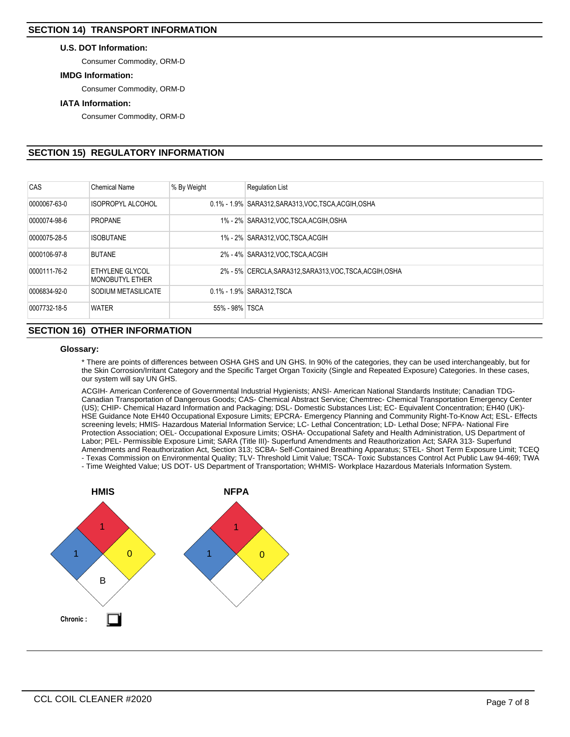## **U.S. DOT Information:**

Consumer Commodity, ORM-D

# **IMDG Information:**

Consumer Commodity, ORM-D

#### **IATA Information:**

Consumer Commodity, ORM-D

# **SECTION 15) REGULATORY INFORMATION**

| CAS          | <b>Chemical Name</b>                      | % By Weight    | <b>Requlation List</b>                                   |
|--------------|-------------------------------------------|----------------|----------------------------------------------------------|
| 0000067-63-0 | <b>ISOPROPYL ALCOHOL</b>                  |                | 0.1% - 1.9% SARA312, SARA313, VOC, TSCA, ACGIH, OSHA     |
| 0000074-98-6 | <b>PROPANE</b>                            |                | 1% - 2% SARA312, VOC, TSCA, ACGIH, OSHA                  |
| 0000075-28-5 | <b>ISOBUTANE</b>                          |                | 1% - 2% SARA312, VOC, TSCA, ACGIH                        |
| 0000106-97-8 | <b>BUTANE</b>                             |                | 2% - 4% SARA312, VOC TSCA, ACGIH                         |
| 0000111-76-2 | ETHYLENE GLYCOL<br><b>MONOBUTYL ETHER</b> |                | 2% - 5% CERCLA, SARA312, SARA313, VOC, TSCA, ACGIH, OSHA |
| 0006834-92-0 | SODIUM METASILICATE                       |                | 0.1% - 1.9% SARA312, TSCA                                |
| 0007732-18-5 | <b>WATER</b>                              | 55% - 98% TSCA |                                                          |

# **SECTION 16) OTHER INFORMATION**

#### **Glossary:**

\* There are points of differences between OSHA GHS and UN GHS. In 90% of the categories, they can be used interchangeably, but for the Skin Corrosion/Irritant Category and the Specific Target Organ Toxicity (Single and Repeated Exposure) Categories. In these cases, our system will say UN GHS.

ACGIH- American Conference of Governmental Industrial Hygienists; ANSI- American National Standards Institute; Canadian TDG-Canadian Transportation of Dangerous Goods; CAS- Chemical Abstract Service; Chemtrec- Chemical Transportation Emergency Center (US); CHIP- Chemical Hazard Information and Packaging; DSL- Domestic Substances List; EC- Equivalent Concentration; EH40 (UK)- HSE Guidance Note EH40 Occupational Exposure Limits; EPCRA- Emergency Planning and Community Right-To-Know Act; ESL- Effects screening levels; HMIS- Hazardous Material Information Service; LC- Lethal Concentration; LD- Lethal Dose; NFPA- National Fire Protection Association; OEL- Occupational Exposure Limits; OSHA- Occupational Safety and Health Administration, US Department of Labor; PEL- Permissible Exposure Limit; SARA (Title III)- Superfund Amendments and Reauthorization Act; SARA 313- Superfund Amendments and Reauthorization Act, Section 313; SCBA- Self-Contained Breathing Apparatus; STEL- Short Term Exposure Limit; TCEQ - Texas Commission on Environmental Quality; TLV- Threshold Limit Value; TSCA- Toxic Substances Control Act Public Law 94-469; TWA

- Time Weighted Value; US DOT- US Department of Transportation; WHMIS- Workplace Hazardous Materials Information System.